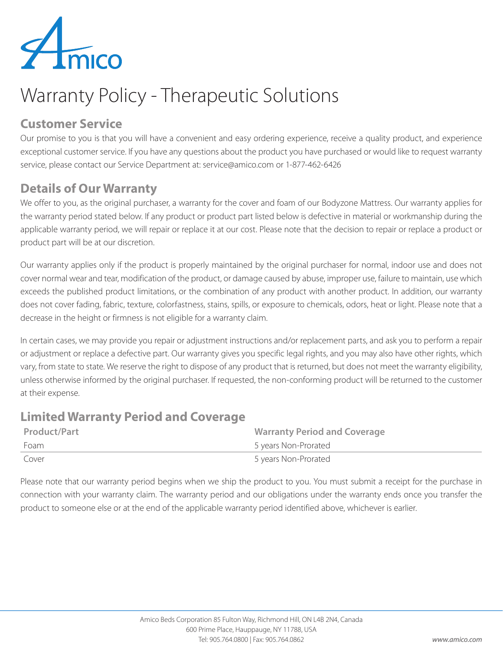

## Warranty Policy - Therapeutic Solutions

#### **Customer Service**

Our promise to you is that you will have a convenient and easy ordering experience, receive a quality product, and experience exceptional customer service. If you have any questions about the product you have purchased or would like to request warranty service, please contact our Service Department at: service@amico.com or 1-877-462-6426

#### **Details of Our Warranty**

We offer to you, as the original purchaser, a warranty for the cover and foam of our Bodyzone Mattress. Our warranty applies for the warranty period stated below. If any product or product part listed below is defective in material or workmanship during the applicable warranty period, we will repair or replace it at our cost. Please note that the decision to repair or replace a product or product part will be at our discretion.

Our warranty applies only if the product is properly maintained by the original purchaser for normal, indoor use and does not cover normal wear and tear, modification of the product, or damage caused by abuse, improper use, failure to maintain, use which exceeds the published product limitations, or the combination of any product with another product. In addition, our warranty does not cover fading, fabric, texture, colorfastness, stains, spills, or exposure to chemicals, odors, heat or light. Please note that a decrease in the height or firmness is not eligible for a warranty claim.

In certain cases, we may provide you repair or adjustment instructions and/or replacement parts, and ask you to perform a repair or adjustment or replace a defective part. Our warranty gives you specific legal rights, and you may also have other rights, which vary, from state to state. We reserve the right to dispose of any product that is returned, but does not meet the warranty eligibility, unless otherwise informed by the original purchaser. If requested, the non-conforming product will be returned to the customer at their expense.

#### **Limited Warranty Period and Coverage**

| <b>Product/Part</b> | <b>Warranty Period and Coverage</b> |
|---------------------|-------------------------------------|
| Foam                | 5 years Non-Prorated                |
| Cover               | 5 years Non-Prorated                |

Please note that our warranty period begins when we ship the product to you. You must submit a receipt for the purchase in connection with your warranty claim. The warranty period and our obligations under the warranty ends once you transfer the product to someone else or at the end of the applicable warranty period identified above, whichever is earlier.